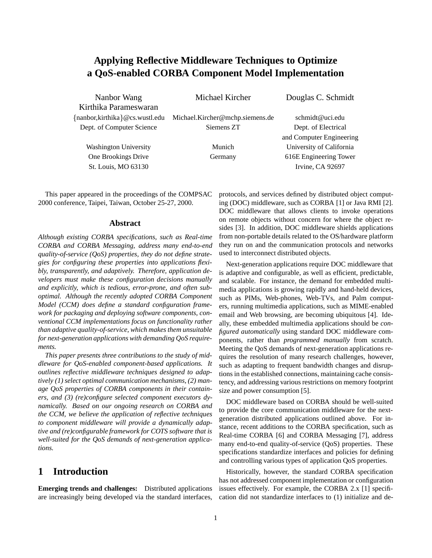# **Applying Reflective Middleware Techniques to Optimize a QoS-enabled CORBA Component Model Implementation**

Nanbor Wang Michael Kircher Douglas C. Schmidt Kirthika Parameswaran fnanbor,kirthikag@cs.wustl.edu Michael.Kircher@mchp.siemens.de schmidt@uci.edu Dept. of Computer Science Siemens ZT Dept. of Electrical

and Computer Engineering Washington University Munich University of California One Brookings Drive Germany 616E Engineering Tower

St. Louis, MO 63130 Irvine, CA 92697

This paper appeared in the proceedings of the COMPSAC 2000 conference, Taipei, Taiwan, October 25-27, 2000.

#### **Abstract**

*Although existing CORBA specifications, such as Real-time CORBA and CORBA Messaging, address many end-to-end quality-of-service (QoS) properties, they do not define strategies for configuring these properties into applications flexibly, transparently, and adaptively. Therefore, application developers must make these configuration decisions manually and explicitly, which is tedious, error-prone, and often suboptimal. Although the recently adopted CORBA Component Model (CCM) does define a standard configuration framework for packaging and deploying software components, conventional CCM implementations focus on functionality rather than adaptive quality-of-service, which makes them unsuitable for next-generation applications with demanding QoS requirements.*

*This paper presents three contributions to the study of middleware for QoS-enabled component-based applications. It outlines reflective middleware techniques designed to adaptively (1) select optimal communication mechanisms, (2) manage QoS properties of CORBA components in their containers, and (3) (re)configure selected component executors dynamically. Based on our ongoing research on CORBA and the CCM, we believe the application of reflective techniques to component middleware will provide a dynamically adaptive and (re)configurable framework for COTS software that is well-suited for the QoS demands of next-generation applications.*

### **1 Introduction**

**Emerging trends and challenges:** Distributed applications are increasingly being developed via the standard interfaces,

protocols, and services defined by distributed object computing (DOC) middleware, such as CORBA [1] or Java RMI [2]. DOC middleware that allows clients to invoke operations on remote objects without concern for where the object resides [3]. In addition, DOC middleware shields applications from non-portable details related to the OS/hardware platform they run on and the communication protocols and networks used to interconnect distributed objects.

Next-generation applications require DOC middleware that is adaptive and configurable, as well as efficient, predictable, and scalable. For instance, the demand for embedded multimedia applications is growing rapidly and hand-held devices, such as PIMs, Web-phones, Web-TVs, and Palm computers, running multimedia applications, such as MIME-enabled email and Web browsing, are becoming ubiquitous [4]. Ideally, these embedded multimedia applications should be *configured automatically* using standard DOC middleware components, rather than *programmed manually* from scratch. Meeting the QoS demands of next-generation applications requires the resolution of many research challenges, however, such as adapting to frequent bandwidth changes and disruptions in the established connections, maintaining cache consistency, and addressing various restrictions on memory footprint size and power consumption [5].

DOC middleware based on CORBA should be well-suited to provide the core communication middleware for the nextgeneration distributed applications outlined above. For instance, recent additions to the CORBA specification, such as Real-time CORBA [6] and CORBA Messaging [7], address many end-to-end quality-of-service (QoS) properties. These specifications standardize interfaces and policies for defining and controlling various types of application QoS properties.

Historically, however, the standard CORBA specification has not addressed component implementation or configuration issues effectively. For example, the CORBA 2.x [1] specification did not standardize interfaces to (1) initialize and de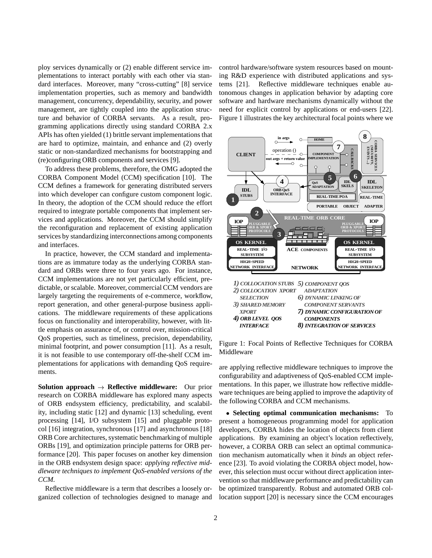ploy services dynamically or (2) enable different service implementations to interact portably with each other via standard interfaces. Moreover, many "cross-cutting" [8] service implementation properties, such as memory and bandwidth management, concurrency, dependability, security, and power management, are tightly coupled into the application structure and behavior of CORBA servants. As a result, programming applications directly using standard CORBA 2.x APIs has often yielded (1) brittle servant implementations that are hard to optimize, maintain, and enhance and (2) overly static or non-standardized mechanisms for bootstrapping and (re)configuring ORB components and services [9].

To address these problems, therefore, the OMG adopted the CORBA Component Model (CCM) specification [10]. The CCM defines a framework for generating distributed servers into which developer can configure custom component logic. In theory, the adoption of the CCM should reduce the effort required to integrate portable components that implement services and applications. Moreover, the CCM should simplify the reconfiguration and replacement of existing application services by standardizing interconnections among components and interfaces.

In practice, however, the CCM standard and implementations are as immature today as the underlying CORBA standard and ORBs were three to four years ago. For instance, CCM implementations are not yet particularly efficient, predictable, or scalable. Moreover, commercial CCM vendors are largely targeting the requirements of e-commerce, workflow, report generation, and other general-purpose business applications. The middleware requirements of these applications focus on functionality and interoperability, however, with little emphasis on assurance of, or control over, mission-critical QoS properties, such as timeliness, precision, dependability, minimal footprint, and power consumption [11]. As a result, it is not feasible to use contemporary off-the-shelf CCM implementations for applications with demanding QoS requirements.

**Solution approach**  $\rightarrow$  **Reflective middleware:** Our prior research on CORBA middleware has explored many aspects of ORB endsystem efficiency, predictability, and scalability, including static [12] and dynamic [13] scheduling, event processing [14], I/O subsystem [15] and pluggable protocol [16] integration, synchronous [17] and asynchronous [18] ORB Core architectures, systematic benchmarking of multiple ORBs [19], and optimization principle patterns for ORB performance [20]. This paper focuses on another key dimension in the ORB endsystem design space: *applying reflective middleware techniques to implement QoS-enabled versions of the CCM*.

Reflective middleware is a term that describes a loosely organized collection of technologies designed to manage and control hardware/software system resources based on mounting R&D experience with distributed applications and systems [21]. Reflective middleware techniques enable autonomous changes in application behavior by adapting core software and hardware mechanisms dynamically without the need for explicit control by applications or end-users [22]. Figure 1 illustrates the key architectural focal points where we



Figure 1: Focal Points of Reflective Techniques for CORBA Middleware

are applying reflective middleware techniques to improve the configurability and adaptiveness of QoS-enabled CCM implementations. In this paper, we illustrate how reflective middleware techniques are being applied to improve the adaptivity of the following CORBA and CCM mechanisms.

 **Selecting optimal communication mechanisms:** To present a homogeneous programming model for application developers, CORBA hides the location of objects from client applications. By examining an object's location reflectively, however, a CORBA ORB can select an optimal communication mechanism automatically when it *binds* an object reference [23]. To avoid violating the CORBA object model, however, this selection must occur without direct application intervention so that middleware performance and predictability can be optimized transparently. Robust and automated ORB collocation support [20] is necessary since the CCM encourages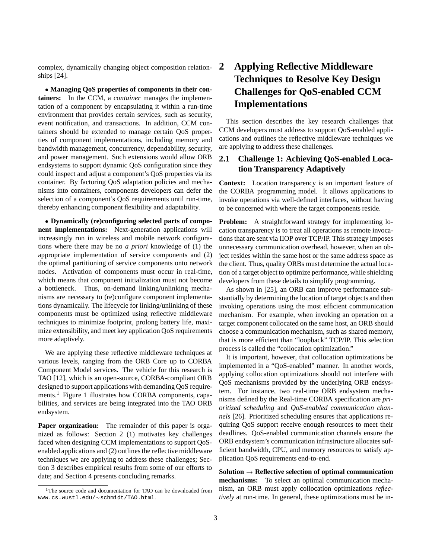complex, dynamically changing object composition relationships [24].

 **Managing QoS properties of components in their containers:** In the CCM, a *container* manages the implementation of a component by encapsulating it within a run-time environment that provides certain services, such as security, event notification, and transactions. In addition, CCM containers should be extended to manage certain QoS properties of component implementations, including memory and bandwidth management, concurrency, dependability, security, and power management. Such extensions would allow ORB endsystems to support dynamic QoS configuration since they could inspect and adjust a component's QoS properties via its container. By factoring QoS adaptation policies and mechanisms into containers, components developers can defer the selection of a component's QoS requirements until run-time, thereby enhancing component flexibility and adaptability.

 **Dynamically (re)configuring selected parts of component implementations:** Next-generation applications will increasingly run in wireless and mobile network configurations where there may be no *a priori* knowledge of (1) the appropriate implementation of service components and (2) the optimal partitioning of service components onto network nodes. Activation of components must occur in real-time, which means that component initialization must not become a bottleneck. Thus, on-demand linking/unlinking mechanisms are necessary to (re)configure component implementations dynamically. The lifecycle for linking/unlinking of these components must be optimized using reflective middleware techniques to minimize footprint, prolong battery life, maximize extensibility, and meet key application QoS requirements more adaptively.

We are applying these reflective middleware techniques at various levels, ranging from the ORB Core up to CORBA Component Model services. The vehicle for this research is TAO [12], which is an open-source, CORBA-compliant ORB designed to support applications with demanding QoS requirements.<sup>1</sup> Figure 1 illustrates how CORBA components, capabilities, and services are being integrated into the TAO ORB endsystem.

**Paper organization:** The remainder of this paper is organized as follows: Section 2 (1) motivates key challenges faced when designing CCM implementations to support QoSenabled applications and (2) outlines the reflective middleware techniques we are applying to address these challenges; Section 3 describes empirical results from some of our efforts to date; and Section 4 presents concluding remarks.

# **2 Applying Reflective Middleware Techniques to Resolve Key Design Challenges for QoS-enabled CCM Implementations**

This section describes the key research challenges that CCM developers must address to support QoS-enabled applications and outlines the reflective middleware techniques we are applying to address these challenges.

### **2.1 Challenge 1: Achieving QoS-enabled Location Transparency Adaptively**

**Context:** Location transparency is an important feature of the CORBA programming model. It allows applications to invoke operations via well-defined interfaces, without having to be concerned with where the target components reside.

**Problem:** A straightforward strategy for implementing location transparency is to treat all operations as remote invocations that are sent via IIOP over TCP/IP. This strategy imposes unnecessary communication overhead, however, when an object resides within the same host or the same address space as the client. Thus, quality ORBs must determine the actual location of a target object to optimize performance, while shielding developers from these details to simplify programming.

As shown in [25], an ORB can improve performance substantially by determining the location of target objects and then invoking operations using the most efficient communication mechanism. For example, when invoking an operation on a target component collocated on the same host, an ORB should choose a communication mechanism, such as shared memory, that is more efficient than "loopback" TCP/IP. This selection process is called the "collocation optimization."

It is important, however, that collocation optimizations be implemented in a "QoS-enabled" manner. In another words, applying collocation optimizations should not interfere with QoS mechanisms provided by the underlying ORB endsystem. For instance, two real-time ORB endsystem mechanisms defined by the Real-time CORBA specification are *prioritized scheduling* and *QoS-enabled communication channels* [26]. Prioritized scheduling ensures that applications requiring QoS support receive enough resources to meet their deadlines. QoS-enabled communication channels ensure the ORB endsystem's communication infrastructure allocates sufficient bandwidth, CPU, and memory resources to satisfy application QoS requirements end-to-end.

 $Solution \rightarrow$  **Reflective selection of optimal communication mechanisms:** To select an optimal communication mechanism, an ORB must apply collocation optimizations *reflectively* at run-time. In general, these optimizations must be in-

<sup>&</sup>lt;sup>1</sup>The source code and documentation for TAO can be downloaded from www.cs.wustl.edu/~schmidt/TAO.html.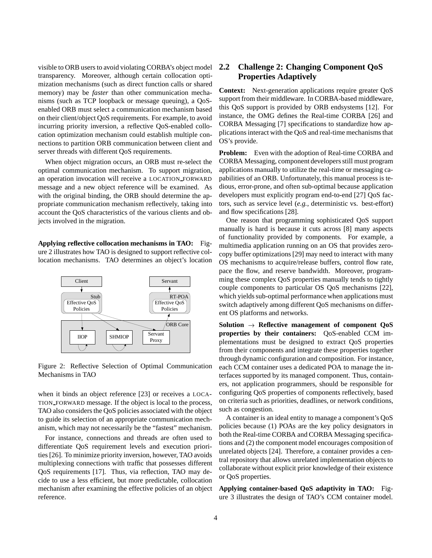visible to ORB users to avoid violating CORBA's object model transparency. Moreover, although certain collocation optimization mechanisms (such as direct function calls or shared memory) may be *faster* than other communication mechanisms (such as TCP loopback or message queuing), a QoSenabled ORB must select a communication mechanism based on their client/object QoS requirements. For example, to avoid incurring priority inversion, a reflective QoS-enabled collocation optimization mechanism could establish multiple connections to partition ORB communication between client and server threads with different QoS requirements.

When object migration occurs, an ORB must re-select the optimal communication mechanism. To support migration, an operation invocation will receive a LOCATION FORWARD message and a new object reference will be examined. As with the original binding, the ORB should determine the appropriate communication mechanism reflectively, taking into account the QoS characteristics of the various clients and objects involved in the migration.

**Applying reflective collocation mechanisms in TAO:** Figure 2 illustrates how TAO is designed to support reflective collocation mechanisms. TAO determines an object's location



Figure 2: Reflective Selection of Optimal Communication Mechanisms in TAO

when it binds an object reference [23] or receives a LOCA-TION FORWARD message. If the object is local to the process, TAO also considers the QoS policies associated with the object to guide its selection of an appropriate communication mechanism, which may not necessarily be the "fastest" mechanism.

For instance, connections and threads are often used to differentiate QoS requirement levels and execution priorities [26]. To minimize priority inversion, however, TAO avoids multiplexing connections with traffic that possesses different QoS requirements [17]. Thus, via reflection, TAO may decide to use a less efficient, but more predictable, collocation mechanism after examining the effective policies of an object reference.

#### **2.2 Challenge 2: Changing Component QoS Properties Adaptively**

**Context:** Next-generation applications require greater QoS support from their middleware. In CORBA-based middleware, this QoS support is provided by ORB endsystems [12]. For instance, the OMG defines the Real-time CORBA [26] and CORBA Messaging [7] specifications to standardize how applications interact with the QoS and real-time mechanisms that OS's provide.

**Problem:** Even with the adoption of Real-time CORBA and CORBA Messaging, component developers still must program applications manually to utilize the real-time or messaging capabilities of an ORB. Unfortunately, this manual process is tedious, error-prone, and often sub-optimal because application developers must explicitly program end-to-end [27] QoS factors, such as service level (*e.g.*, deterministic vs. best-effort) and flow specifications [28].

One reason that programming sophisticated QoS support manually is hard is because it cuts across [8] many aspects of functionality provided by components. For example, a multimedia application running on an OS that provides zerocopy buffer optimizations [29] may need to interact with many OS mechanisms to acquire/release buffers, control flow rate, pace the flow, and reserve bandwidth. Moreover, programming these complex QoS properties manually tends to tightly couple components to particular OS QoS mechanisms [22], which yields sub-optimal performance when applications must switch adaptively among different QoS mechanisms on different OS platforms and networks.

**Solution**  $\rightarrow$  **Reflective management of component QoS properties by their containers:** QoS-enabled CCM implementations must be designed to extract QoS properties from their components and integrate these properties together through dynamic configuration and composition. For instance, each CCM container uses a dedicated POA to manage the interfaces supported by its managed component. Thus, containers, not application programmers, should be responsible for configuring QoS properties of components reflectively, based on criteria such as priorities, deadlines, or network conditions, such as congestion.

A container is an ideal entity to manage a component's QoS policies because (1) POAs are the key policy designators in both the Real-time CORBA and CORBA Messaging specifications and (2) the component model encourages composition of unrelated objects [24]. Therefore, a container provides a central repository that allows unrelated implementation objects to collaborate without explicit prior knowledge of their existence or QoS properties.

**Applying container-based QoS adaptivity in TAO:** Figure 3 illustrates the design of TAO's CCM container model.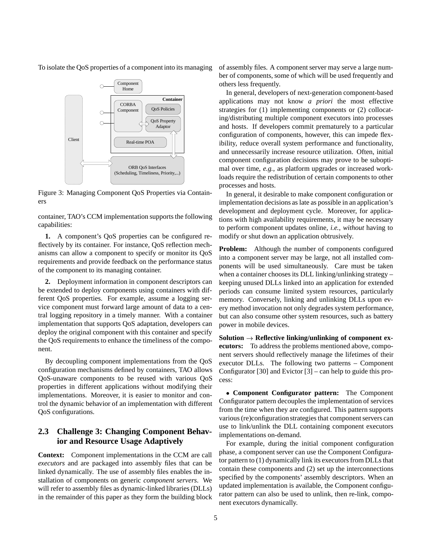To isolate the QoS properties of a component into its managing



Figure 3: Managing Component QoS Properties via Containers

container, TAO's CCM implementation supports the following capabilities:

**1.** A component's QoS properties can be configured reflectively by its container. For instance, QoS reflection mechanisms can allow a component to specify or monitor its QoS requirements and provide feedback on the performance status of the component to its managing container.

**2.** Deployment information in component descriptors can be extended to deploy components using containers with different QoS properties. For example, assume a logging service component must forward large amount of data to a central logging repository in a timely manner. With a container implementation that supports QoS adaptation, developers can deploy the original component with this container and specify the QoS requirements to enhance the timeliness of the component.

By decoupling component implementations from the QoS configuration mechanisms defined by containers, TAO allows QoS-unaware components to be reused with various QoS properties in different applications without modifying their implementations. Moreover, it is easier to monitor and control the dynamic behavior of an implementation with different QoS configurations.

#### **2.3 Challenge 3: Changing Component Behavior and Resource Usage Adaptively**

**Context:** Component implementations in the CCM are call *executors* and are packaged into assembly files that can be linked dynamically. The use of assembly files enables the installation of components on generic *component servers*. We will refer to assembly files as dynamic-linked libraries (DLLs) in the remainder of this paper as they form the building block of assembly files. A component server may serve a large number of components, some of which will be used frequently and others less frequently.

In general, developers of next-generation component-based applications may not know *a priori* the most effective strategies for (1) implementing components or (2) collocating/distributing multiple component executors into processes and hosts. If developers commit prematurely to a particular configuration of components, however, this can impede flexibility, reduce overall system performance and functionality, and unnecessarily increase resource utilization. Often, initial component configuration decisions may prove to be suboptimal over time, *e.g.*, as platform upgrades or increased workloads require the redistribution of certain components to other processes and hosts.

In general, it desirable to make component configuration or implementation decisions as late as possible in an application's development and deployment cycle. Moreover, for applications with high availability requirements, it may be necessary to perform component updates online, *i.e.*, *without* having to modify or shut down an application obtrusively.

**Problem:** Although the number of components configured into a component server may be large, not all installed components will be used simultaneously. Care must be taken when a container chooses its DLL linking/unlinking strategy – keeping unused DLLs linked into an application for extended periods can consume limited system resources, particularly memory. Conversely, linking and unlinking DLLs upon every method invocation not only degrades system performance, but can also consume other system resources, such as battery power in mobile devices.

**Solution**  $\rightarrow$  **Reflective linking/unlinking of component executors:** To address the problems mentioned above, component servers should reflectively manage the lifetimes of their executor DLLs. The following two patterns – Component Configurator [30] and Evictor  $[3]$  – can help to guide this process:

 **Component Configurator pattern:** The Component Configurator pattern decouples the implementation of services from the time when they are configured. This pattern supports various (re)configuration strategies that component servers can use to link/unlink the DLL containing component executors implementations on-demand.

For example, during the initial component configuration phase, a component server can use the Component Configurator pattern to (1) dynamically link its executors from DLLs that contain these components and (2) set up the interconnections specified by the components' assembly descriptors. When an updated implementation is available, the Component configurator pattern can also be used to unlink, then re-link, component executors dynamically.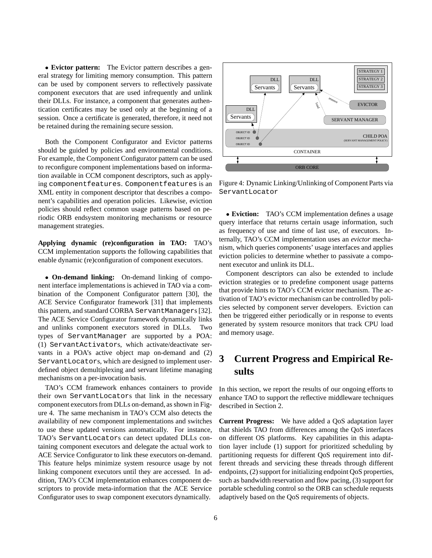**Evictor pattern:** The Evictor pattern describes a general strategy for limiting memory consumption. This pattern can be used by component servers to reflectively passivate component executors that are used infrequently and unlink their DLLs. For instance, a component that generates authentication certificates may be used only at the beginning of a session. Once a certificate is generated, therefore, it need not be retained during the remaining secure session.

Both the Component Configurator and Evictor patterns should be guided by policies and environmental conditions. For example, the Component Configurator pattern can be used to reconfigure component implementations based on information available in CCM component descriptors, such as applying componentfeatures. Componentfeatures is an XML entity in component descriptor that describes a component's capabilities and operation policies. Likewise, eviction policies should reflect common usage patterns based on periodic ORB endsystem monitoring mechanisms or resource management strategies.

**Applying dynamic (re)configuration in TAO:** TAO's CCM implementation supports the following capabilities that enable dynamic (re)configuration of component executors.

 **On-demand linking:** On-demand linking of component interface implementations is achieved in TAO via a combination of the Component Configurator pattern [30], the ACE Service Configurator framework [31] that implements this pattern, and standard CORBA ServantManagers [32]. The ACE Service Configurator framework dynamically links and unlinks component executors stored in DLLs. Two types of ServantManager are supported by a POA: (1) ServantActivators, which activate/deactivate servants in a POA's active object map on-demand and (2) ServantLocators, which are designed to implement userdefined object demultiplexing and servant lifetime managing mechanisms on a per-invocation basis.

TAO's CCM framework enhances containers to provide their own ServantLocators that link in the necessary component executors from DLLs on-demand, as shown in Figure 4. The same mechanism in TAO's CCM also detects the availability of new component implementations and switches to use these updated versions automatically. For instance, TAO's ServantLocators can detect updated DLLs containing component executors and delegate the actual work to ACE Service Configurator to link these executors on-demand. This feature helps minimize system resource usage by not linking component executors until they are accessed. In addition, TAO's CCM implementation enhances component descriptors to provide meta-information that the ACE Service Configurator uses to swap component executors dynamically.



Figure 4: Dynamic Linking/Unlinking of Component Parts via ServantLocator

 **Eviction:** TAO's CCM implementation defines a usage query interface that returns certain usage information, such as frequency of use and time of last use, of executors. Internally, TAO's CCM implementation uses an *evictor* mechanism, which queries components' usage interfaces and applies eviction policies to determine whether to passivate a component executor and unlink its DLL.

Component descriptors can also be extended to include eviction strategies or to predefine component usage patterns that provide hints to TAO's CCM evictor mechanism. The activation of TAO's evictor mechanism can be controlled by policies selected by component server developers. Eviction can then be triggered either periodically or in response to events generated by system resource monitors that track CPU load and memory usage.

# **3 Current Progress and Empirical Results**

In this section, we report the results of our ongoing efforts to enhance TAO to support the reflective middleware techniques described in Section 2.

**Current Progress:** We have added a QoS adaptation layer that shields TAO from differences among the QoS interfaces on different OS platforms. Key capabilities in this adaptation layer include (1) support for prioritized scheduling by partitioning requests for different QoS requirement into different threads and servicing these threads through different endpoints, (2) support for initializing endpoint QoS properties, such as bandwidth reservation and flow pacing, (3) support for portable scheduling control so the ORB can schedule requests adaptively based on the QoS requirements of objects.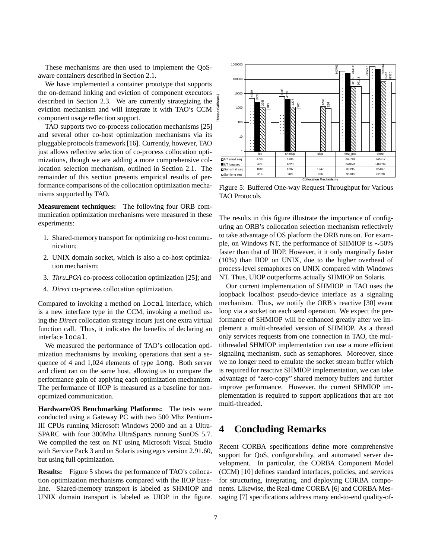These mechanisms are then used to implement the QoSaware containers described in Section 2.1.

We have implemented a container prototype that supports the on-demand linking and eviction of component executors described in Section 2.3. We are currently strategizing the eviction mechanism and will integrate it with TAO's CCM component usage reflection support.

TAO supports two co-process collocation mechanisms [25] and several other co-host optimization mechanisms via its pluggable protocols framework [16]. Currently, however, TAO just allows reflective selection of co-process collocation optimizations, though we are adding a more comprehensive collocation selection mechanism, outlined in Section 2.1. The remainder of this section presents empirical results of performance comparisons of the collocation optimization mechanisms supported by TAO.

**Measurement techniques:** The following four ORB communication optimization mechanisms were measured in these experiments:

- 1. Shared-memory transport for optimizing co-host communication;
- 2. UNIX domain socket, which is also a co-host optimization mechanism;
- 3. *Thru POA* co-process collocation optimization [25]; and
- 4. *Direct* co-process collocation optimization.

Compared to invoking a method on local interface, which is a new interface type in the CCM, invoking a method using the *Direct* collocation strategy incurs just one extra virtual function call. Thus, it indicates the benefits of declaring an interface local.

We measured the performance of TAO's collocation optimization mechanisms by invoking operations that sent a sequence of 4 and 1,024 elements of type long. Both server and client ran on the same host, allowing us to compare the performance gain of applying each optimization mechanism. The performance of IIOP is measured as a baseline for nonoptimized communication.

**Hardware/OS Benchmarking Platforms:** The tests were conducted using a Gateway PC with two 500 Mhz Pentium-III CPUs running Microsoft Windows 2000 and an a Ultra-SPARC with four 300Mhz UltraSparcs running SunOS 5.7. We compiled the test on NT using Microsoft Visual Studio with Service Pack 3 and on Solaris using egcs version 2.91.60, but using full optimization.

**Results:** Figure 5 shows the performance of TAO's collocation optimization mechanisms compared with the IIOP baseline. Shared-memory transport is labeled as SHMIOP and UNIX domain transport is labeled as UIOP in the figure.



Figure 5: Buffered One-way Request Throughput for Various TAO Protocols

The results in this figure illustrate the importance of configuring an ORB's collocation selection mechanism reflectively to take advantage of OS platform the ORB runs on. For example, on Windows NT, the performance of SHMIOP is  $\sim$ 50% faster than that of IIOP. However, it it only marginally faster (10%) than IIOP on UNIX, due to the higher overhead of process-level semaphores on UNIX compared with Windows NT. Thus, UIOP outperforms actually SHMIOP on Solaris.

Our current implementation of SHMIOP in TAO uses the loopback localhost pseudo-device interface as a signaling mechanism. Thus, we notify the ORB's reactive [30] event loop via a socket on each send operation. We expect the performance of SHMIOP will be enhanced greatly after we implement a multi-threaded version of SHMIOP. As a thread only services requests from one connection in TAO, the multithreaded SHMIOP implementation can use a more efficient signaling mechanism, such as semaphores. Moreover, since we no longer need to emulate the socket stream buffer which is required for reactive SHMIOP implementation, we can take advantage of "zero-copy" shared memory buffers and further improve performance. However, the current SHMIOP implementation is required to support applications that are not multi-threaded.

### **4 Concluding Remarks**

Recent CORBA specifications define more comprehensive support for OoS, configurability, and automated server development. In particular, the CORBA Component Model (CCM) [10] defines standard interfaces, policies, and services for structuring, integrating, and deploying CORBA components. Likewise, the Real-time CORBA [6] and CORBA Messaging [7] specifications address many end-to-end quality-of